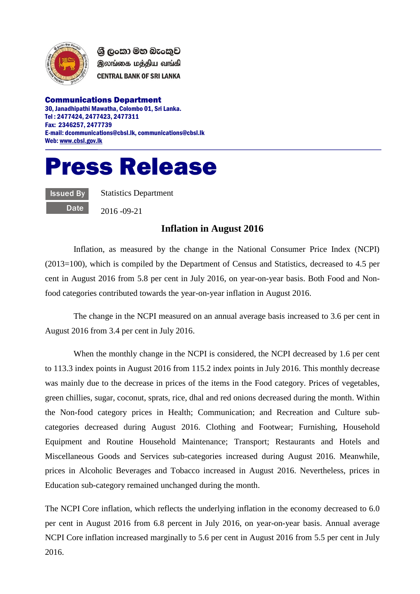

ශී ලංකා මහ බැංකුව இலங்கை மத்திய வங்கி **CENTRAL BANK OF SRI LANKA** 

Communications Department 30, Janadhipathi Mawatha, Colombo 01, Sri Lanka. Tel : 2477424, 2477423, 2477311 Fax: 2346257, 2477739 E-mail: dcommunications@cbsl.lk, communications@cbsl.lk Web[: www.cbsl.gov.lk](http://www.cbsl.gov.lk/)

## Press Release

Issued By **Date**  Statistics Department

2016 -09-21

## **Inflation in August 2016**

Inflation, as measured by the change in the National Consumer Price Index (NCPI) (2013=100), which is compiled by the Department of Census and Statistics, decreased to 4.5 per cent in August 2016 from 5.8 per cent in July 2016, on year-on-year basis. Both Food and Nonfood categories contributed towards the year-on-year inflation in August 2016.

The change in the NCPI measured on an annual average basis increased to 3.6 per cent in August 2016 from 3.4 per cent in July 2016.

When the monthly change in the NCPI is considered, the NCPI decreased by 1.6 per cent to 113.3 index points in August 2016 from 115.2 index points in July 2016. This monthly decrease was mainly due to the decrease in prices of the items in the Food category. Prices of vegetables, green chillies, sugar, coconut, sprats, rice, dhal and red onions decreased during the month. Within the Non-food category prices in Health; Communication; and Recreation and Culture subcategories decreased during August 2016. Clothing and Footwear; Furnishing, Household Equipment and Routine Household Maintenance; Transport; Restaurants and Hotels and Miscellaneous Goods and Services sub-categories increased during August 2016. Meanwhile, prices in Alcoholic Beverages and Tobacco increased in August 2016. Nevertheless, prices in Education sub-category remained unchanged during the month.

The NCPI Core inflation, which reflects the underlying inflation in the economy decreased to 6.0 per cent in August 2016 from 6.8 percent in July 2016, on year-on-year basis. Annual average NCPI Core inflation increased marginally to 5.6 per cent in August 2016 from 5.5 per cent in July 2016.